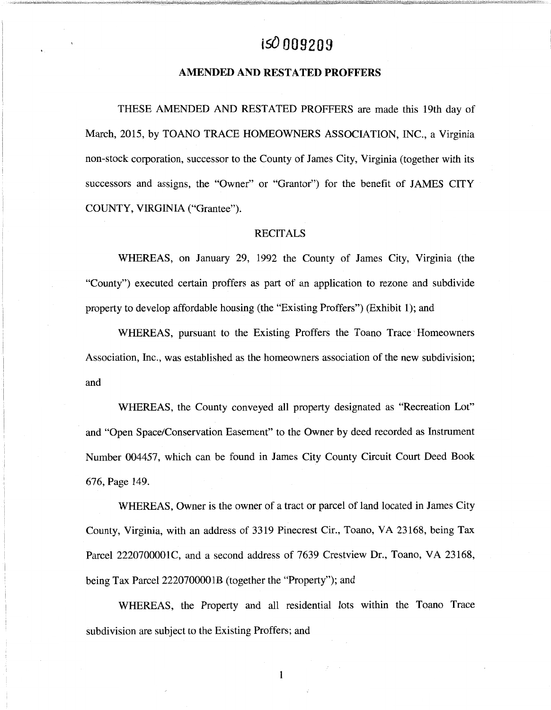# **tsO 009209**

## **AMENDED AND RESTATED PROFFERS**

THESE AMENDED AND RESTATED PROFFERS are made this 19th day of March, 2015, by TOANO TRACE HOMEOWNERS ASSOCIATION, INC., a Virginia non-stock corporation, successor to the County of James City, Virginia (together with its successors and assigns, the "Owner" or "Grantor") for the benefit of JAMES CITY COUNTY, VIRGINIA ("Grantee").

## **RECITALS**

WHEREAS, on January 29, 1992 the County of James City, Virginia (the "County") executed certain proffers as part of an application to rezone and subdivide property to develop affordable housing (the "Existing Proffers") (Exhibit l); and

WHEREAS, pursuant to the Existing Proffers the Toano Trace Homeowners Association, Inc., was established as the homeowners association of the new subdivision; and

WHEREAS, the County conveyed all property designated as "Recreation Lot" and "Open Space/Conservation Easement" to the Owner by deed recorded as Instrument Number 004457, which can be found in James City County Circuit Court Deed Book 676, Page 149.

WHEREAS, Owner is the owner of a tract or parcel of land located in James City County, Virginia, with an address of 3319 Pinecrest Cir., Toano, VA 23168, being Tax Parcel 2220700001C, and a second address of 7639 Crestview Dr., Toano, VA 23168, being Tax Parcel 2220700001B (together the "Property"); and

WHEREAS, the Property and all residential lots within the Toano Trace subdivision are subject to the Existing Proffers; and

1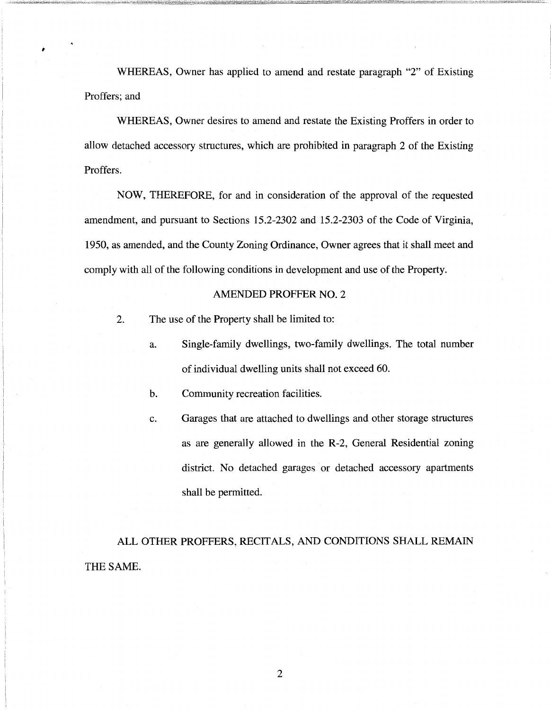WHEREAS, Owner has applied to amend and restate paragraph "2" of Existing Proffers; and

WHEREAS, Owner desires to amend and restate the Existing Proffers in order to allow detached accessory structures, which are prohibited in paragraph 2 of the Existing Proffers.

NOW, THEREFORE, for and in consideration of the approval of the requested amendment, and pursuant to Sections 15.2-2302 and 15.2-2303 of the Code of Virginia, 1950, as amended, and the County Zoning Ordinance, Owner agrees that it shall meet and comply with all of the following conditions in development and use of the Property.

### AMENDED PROFFER NO. 2

2. The use of the Property shall be limited to:

I

- a. Single-family dwellings, two-family dwellings. The total number of individual dwelling units shall not exceed 60.
- b. Community recreation facilities.
- c. Garages that are attached to dwellings and other storage structures as are generally allowed in the R-2, General Residential zoning district. No detached garages or detached accessory apartments shall be permitted.

ALL OTHER PROFFERS, RECITALS, AND CONDITIONS SHALL REMAIN THE SAME.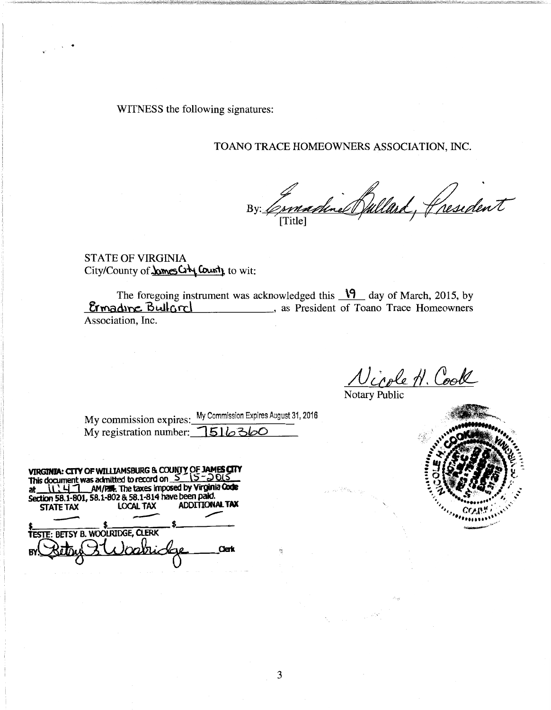WITNESS the following signatures:

' .

# TOANO TRACE HOMEOWNERS ASSOCIATION, INC.

By: Comadine Bullard, President

STATE OF VIRGINIA City/County of **Jomes City County** to wit:

The foregoing instrument was acknowledged this  $\sqrt{9}$  day of March, 2015, by **Ermading Bullard**, as President of Toano Trace Homeowners Association, Inc.

 $NcodeN$ . Coole

Notary Public

 $\frac{1}{2\pi}$  wise

My commission expires: My Commission Expires August 31, 2016 My registration number: 1516360

VIRGINIA: CITY OF WILLIAMSBURG & COUNTY OF JAMES CITY<br>This document was admitted to record on  $\leq$  ( $5-$ ) 015 This document was admitted to record on  $S \cap S - D0.5$ . at  $\sqrt{141}$  AM/FIF. The taxes imposed by Virginia Code Section 58.1-801, 58.1-802 & 58.1-814 have been paid. STATE TAX LOCAL TAX ADDITIONAL TAX Section 58.1-801, 58.1-802 & 58.1-814 have been paid.<br>
STATE TAX LOCAL TAX ADDITIONAL TA TESTE: BETSY B. WOOLRIDGE, CLERK BY Bellus & Warrioge \_ us